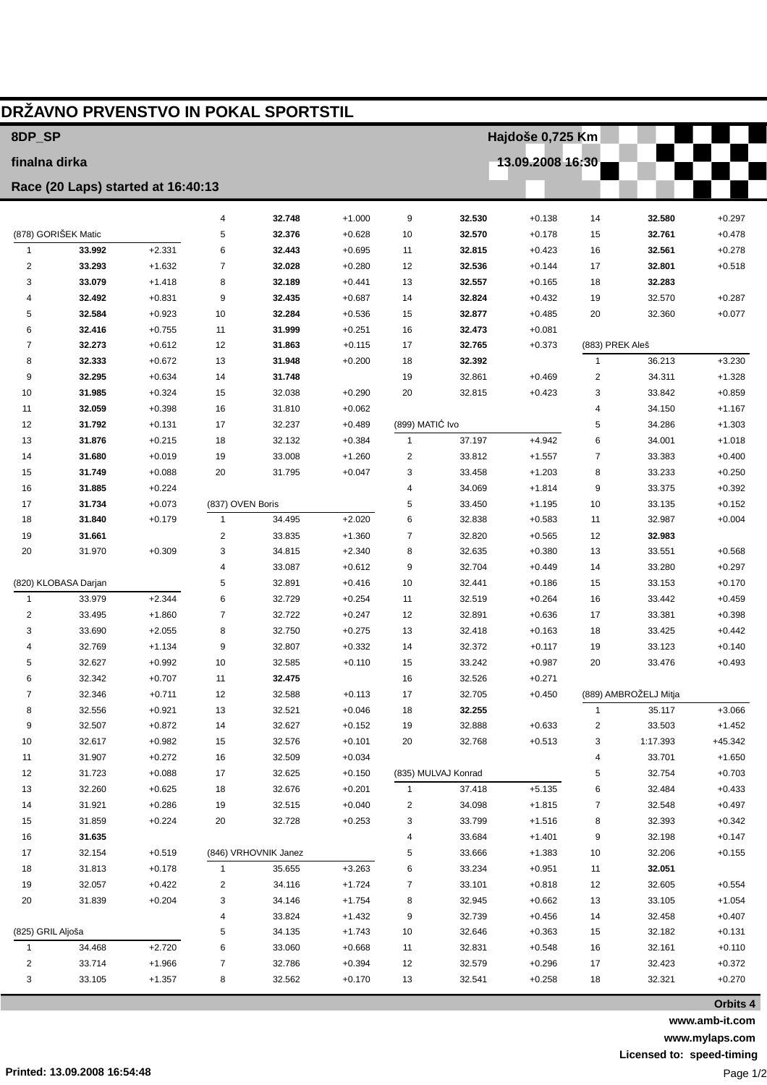| 8DP_SP            |                                    |                      |                  | DRŽAVNO PRVENSTVO IN POKAL SPORTSTIL |                      |                  | Hajdoše 0,725 Km    |                      |                         |                       |                      |  |
|-------------------|------------------------------------|----------------------|------------------|--------------------------------------|----------------------|------------------|---------------------|----------------------|-------------------------|-----------------------|----------------------|--|
| finalna dirka     |                                    |                      |                  |                                      |                      | 13.09.2008 16:30 |                     |                      |                         |                       |                      |  |
|                   |                                    |                      |                  |                                      |                      |                  |                     |                      |                         |                       |                      |  |
|                   | Race (20 Laps) started at 16:40:13 |                      |                  |                                      |                      |                  |                     |                      |                         |                       |                      |  |
|                   |                                    |                      | 4                | 32.748                               | $+1.000$             | 9                | 32.530              | $+0.138$             | 14                      | 32.580                | $+0.297$             |  |
|                   | (878) GORIŠEK Matic                |                      | 5                | 32.376                               | $+0.628$             | 10               | 32.570              | $+0.178$             | 15                      | 32.761                | $+0.478$             |  |
| $\mathbf{1}$      | 33.992                             | $+2.331$             | 6                | 32.443                               | $+0.695$             | 11               | 32.815              | $+0.423$             | 16                      | 32.561                | $+0.278$             |  |
| $\overline{2}$    | 33.293                             | $+1.632$             | $\overline{7}$   | 32.028                               | $+0.280$             | 12               | 32.536              | $+0.144$             | 17                      | 32.801                | $+0.518$             |  |
| 3                 | 33.079                             | $+1.418$             | 8                | 32.189                               | $+0.441$             | 13               | 32.557              | $+0.165$             | 18                      | 32.283                |                      |  |
| 4                 | 32.492                             | $+0.831$             | 9                | 32.435                               | $+0.687$             | 14               | 32.824              | $+0.432$             | 19                      | 32.570                | $+0.287$             |  |
| 5                 | 32.584                             | $+0.923$             | 10               | 32.284                               | $+0.536$             | 15               | 32.877              | $+0.485$             | 20                      | 32.360                | $+0.077$             |  |
| 6                 | 32.416                             | $+0.755$             | 11               | 31.999                               | $+0.251$             | 16               | 32.473              | $+0.081$             |                         |                       |                      |  |
| 7                 | 32.273                             | $+0.612$             | 12               | 31.863                               | $+0.115$             | 17               | 32.765              | $+0.373$             | (883) PREK Aleš         |                       |                      |  |
| 8                 | 32.333                             | $+0.672$             | 13               | 31.948                               | $+0.200$             | 18               | 32.392              |                      | $\mathbf{1}$            | 36.213                | $+3.230$             |  |
| 9                 | 32.295                             | $+0.634$             | 14               | 31.748                               |                      | 19               | 32.861              | $+0.469$             | $\overline{\mathbf{c}}$ | 34.311                | $+1.328$             |  |
| 10                | 31.985                             | $+0.324$             | 15               | 32.038                               | $+0.290$             | 20               | 32.815              | $+0.423$             | 3                       | 33.842                | $+0.859$             |  |
| 11                | 32.059                             | $+0.398$             | 16               | 31.810                               | $+0.062$             |                  |                     |                      | 4                       | 34.150                | $+1.167$             |  |
| 12                | 31.792                             | $+0.131$             | 17               | 32.237                               | $+0.489$             | (899) MATIĆ Ivo  |                     |                      | 5                       | 34.286                | $+1.303$             |  |
| 13                | 31.876                             | $+0.215$             | 18               | 32.132                               | $+0.384$             | $\mathbf{1}$     | 37.197              | $+4.942$             | 6                       | 34.001                | $+1.018$             |  |
| 14<br>15          | 31.680<br>31.749                   | $+0.019$<br>$+0.088$ | 19<br>20         | 33.008<br>31.795                     | $+1.260$<br>$+0.047$ | 2<br>3           | 33.812              | $+1.557$<br>$+1.203$ | 7                       | 33.383<br>33.233      | $+0.400$<br>$+0.250$ |  |
| 16                | 31.885                             | $+0.224$             |                  |                                      |                      | 4                | 33.458<br>34.069    | $+1.814$             | 8<br>9                  | 33.375                | $+0.392$             |  |
| 17                | 31.734                             | $+0.073$             | (837) OVEN Boris |                                      |                      | 5                | 33.450              | $+1.195$             | 10                      | 33.135                | $+0.152$             |  |
| 18                | 31.840                             | $+0.179$             | $\mathbf{1}$     | 34.495                               | $+2.020$             | 6                | 32.838              | $+0.583$             | 11                      | 32.987                | $+0.004$             |  |
| 19                | 31.661                             |                      | $\overline{2}$   | 33.835                               | $+1.360$             | 7                | 32.820              | $+0.565$             | 12                      | 32.983                |                      |  |
| 20                | 31.970                             | $+0.309$             | 3                | 34.815                               | $+2.340$             | 8                | 32.635              | $+0.380$             | 13                      | 33.551                | $+0.568$             |  |
|                   |                                    |                      | $\overline{4}$   | 33.087                               | $+0.612$             | 9                | 32.704              | $+0.449$             | 14                      | 33.280                | $+0.297$             |  |
|                   | (820) KLOBASA Darjan               |                      | 5                | 32.891                               | $+0.416$             | 10               | 32.441              | $+0.186$             | 15                      | 33.153                | $+0.170$             |  |
| $\mathbf{1}$      | 33.979                             | $+2.344$             | 6                | 32.729                               | $+0.254$             | 11               | 32.519              | $+0.264$             | 16                      | 33.442                | $+0.459$             |  |
| $\overline{2}$    | 33.495                             | $+1.860$             | $\overline{7}$   | 32.722                               | $+0.247$             | 12               | 32.891              | $+0.636$             | 17                      | 33.381                | $+0.398$             |  |
| 3                 | 33.690                             | $+2.055$             | 8                | 32.750                               | $+0.275$             | 13               | 32.418              | $+0.163$             | 18                      | 33.425                | $+0.442$             |  |
| 4                 | 32.769                             | $+1.134$             | 9                | 32.807                               | $+0.332$             | 14               | 32.372              | $+0.117$             | 19                      | 33.123                | $+0.140$             |  |
| 5                 | 32.627                             | $+0.992$             | 10               | 32.585                               | $+0.110$             | 15               | 33.242              | $+0.987$             | 20                      | 33.476                | $+0.493$             |  |
| 6                 | 32.342                             | $+0.707$             | 11               | 32.475                               |                      | 16               | 32.526              | $+0.271$             |                         |                       |                      |  |
| $\overline{7}$    | 32.346                             | $+0.711$             | 12               | 32.588                               | $+0.113$             | 17               | 32.705              | $+0.450$             |                         | (889) AMBROŽELJ Mitja |                      |  |
| 8                 | 32.556                             | $+0.921$             | 13               | 32.521                               | $+0.046$             | 18               | 32.255              |                      | $\mathbf{1}$            | 35.117                | $+3.066$             |  |
| 9                 | 32.507                             | $+0.872$             | 14               | 32.627                               | $+0.152$             | 19               | 32.888              | $+0.633$             | 2                       | 33.503                | $+1.452$             |  |
| 10                | 32.617                             | $+0.982$             | 15               | 32.576                               | $+0.101$             | 20               | 32.768              | $+0.513$             | 3                       | 1:17.393              | $+45.342$            |  |
| 11                | 31.907                             | $+0.272$             | 16               | 32.509                               | $+0.034$             |                  |                     |                      | 4                       | 33.701                | $+1.650$             |  |
| 12                | 31.723                             | $+0.088$             | 17               | 32.625                               | $+0.150$             |                  | (835) MULVAJ Konrad |                      | 5                       | 32.754                | $+0.703$             |  |
| 13                | 32.260                             | $+0.625$             | 18               | 32.676                               | $+0.201$             | 1                | 37.418              | $+5.135$             | 6                       | 32.484                | $+0.433$             |  |
| 14                | 31.921                             | $+0.286$             | 19               | 32.515                               | $+0.040$             | 2                | 34.098              | $+1.815$             | 7                       | 32.548                | $+0.497$             |  |
| 15                | 31.859                             | $+0.224$             | 20               | 32.728                               | $+0.253$             | 3                | 33.799              | $+1.516$             | 8                       | 32.393                | $+0.342$             |  |
| 16                | 31.635                             |                      |                  |                                      |                      | 4                | 33.684              | $+1.401$             | 9                       | 32.198                | $+0.147$             |  |
| 17                | 32.154                             | $+0.519$             |                  | (846) VRHOVNIK Janez                 |                      | 5                | 33.666              | $+1.383$             | 10                      | 32.206                | $+0.155$             |  |
| 18                | 31.813                             | $+0.178$             | $\mathbf{1}$     | 35.655                               | $+3.263$             | 6                | 33.234              | $+0.951$             | 11                      | 32.051                |                      |  |
| 19                | 32.057                             | $+0.422$             | 2                | 34.116                               | $+1.724$             | 7                | 33.101              | $+0.818$             | 12                      | 32.605                | $+0.554$             |  |
| 20                | 31.839                             | $+0.204$             | 3                | 34.146                               | $+1.754$             | 8                | 32.945              | $+0.662$             | 13                      | 33.105                | $+1.054$             |  |
|                   |                                    | 4                    | 33.824           | $+1.432$                             | 9                    | 32.739           | $+0.456$            | 14                   | 32.458                  | $+0.407$              |                      |  |
| (825) GRIL Aljoša |                                    | 5                    | 34.135           | $+1.743$                             | $10$                 | 32.646           | $+0.363$            | 15                   | 32.182                  | $+0.131$              |                      |  |
| 1                 | 34.468                             | $+2.720$             | 6                | 33.060                               | $+0.668$             | 11               | 32.831              | $+0.548$             | 16                      | 32.161                | $+0.110$             |  |
| 2                 | 33.714                             | $+1.966$             | $\overline{7}$   | 32.786                               | $+0.394$             | 12               | 32.579              | $+0.296$             | 17                      | 32.423                | $+0.372$             |  |
| 3                 | 33.105                             | $+1.357$             | 8                | 32.562                               | $+0.170$             | 13               | 32.541              | $+0.258$             | 18                      | 32.321                | $+0.270$             |  |
|                   |                                    |                      |                  |                                      |                      |                  |                     |                      |                         |                       | Orbits 4             |  |

**www.amb-it.com www.mylaps.com Licensed to: speed-timing** Page 1/2